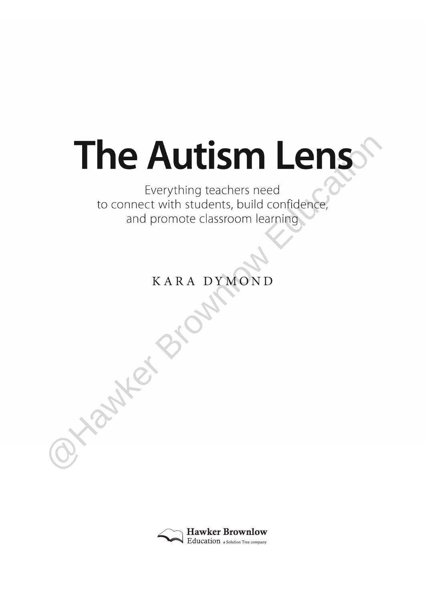# The Autism Lens<br>
Everything teachers need<br>to connect with students, build confidence,<br>and promote classroom learning<br>
KARA DYMOND

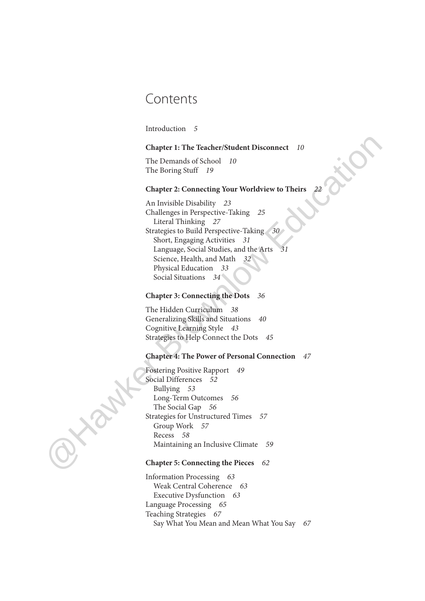# Contents

Introduction 5

### **Chapter 1: The Teacher/Student Disconnect** 10

The Demands of School 10 The Boring Stuff 19

## **Chapter 2: Connecting Your Worldview to Theirs** 22

An Invisible Disability 23 Challenges in Perspective-Taking 25 Literal Thinking 27 Strategies to Build Perspective-Taking 30 Short, Engaging Activities 31 Language, Social Studies, and the Arts 31 Science, Health, and Math 32 Physical Education 33 Social Situations 34 Chapter 1: The Teacher/Student Disconnect 10<br>
The Demands of School 10<br>
The Boring Stuff 19<br>
Chapter 2: Connective Your Worldview to Theirs 22<br>
Challenges in Berpecius-Taking 25<br>
An Invisible Disability 22<br>
Strategies to

### **Chapter 3: Connecting the Dots** 36

The Hidden Curriculum 38 Generalizing Skills and Situations 40 Cognitive Learning Style 43 Strategies to Help Connect the Dots 45

### **Chapter 4: The Power of Personal Connection** 47

Fostering Positive Rapport 49 Social Differences 52 Bullying 53 Long-Term Outcomes 56 The Social Gap 56 Strategies for Unstructured Times 57 Group Work 57 Recess 58 Maintaining an Inclusive Climate 59

### **Chapter 5: Connecting the Pieces** 62

Information Processing 63 Weak Central Coherence 63 Executive Dysfunction 63 Language Processing 65 Teaching Strategies 67 Say What You Mean and Mean What You Say 67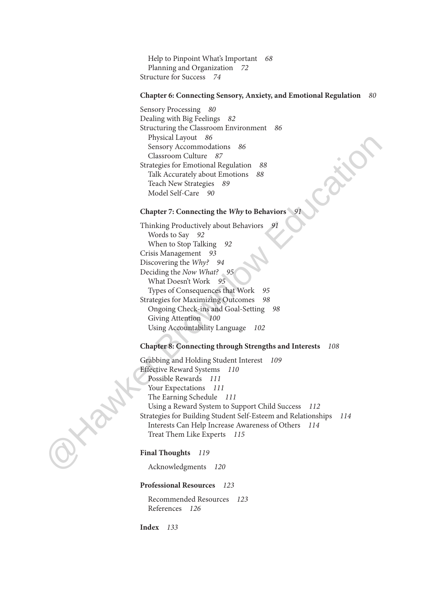Help to Pinpoint What's Important 68 Planning and Organization 72 Structure for Success 74

### **Chapter 6: Connecting Sensory, Anxiety, and Emotional Regulation** 80

Sensory Processing 80 Dealing with Big Feelings 82 Structuring the Classroom Environment 86 Physical Layout 86 Sensory Accommodations 86 Classroom Culture 87 Strategies for Emotional Regulation 88 Talk Accurately about Emotions 88 Teach New Strategies 89 Model Self-Care 90

### **Chapter 7: Connecting the Why to Behaviors** 91

Thinking Productively about Behaviors Words to Say 92 When to Stop Talking 92 Crisis Management 93 Discovering the Why? 94 Deciding the Now What? 95 What Doesn't Work 95 Types of Consequences that Work 95 Strategies for Maximizing Outcomes 98 Ongoing Check-ins and Goal-Setting 98 Giving Attention 100 Using Accountability Language 102

### **Chapter 8: Connecting through Strengths and Interests** 108

Grabbing and Holding Student Interest 109 Effective Reward Systems 110 Possible Rewards 111 Your Expectations 111 The Earning Schedule 111 Using a Reward System to Support Child Success 112 Strategies for Building Student Self-Esteem and Relationships 114 Interests Can Help Increase Awareness of Others 114 Treat Them Like Experts 115 Physical Layout 86<br>
Sensory Accommodations 86<br>
Classroom Colltre 67<br>
Strategies for Emotional Regulation 88<br>
Talk Accords<br>
Tack Deve Strategies 89<br>
Tech Ever Strategies 89<br>
Model Self Care 90<br>
Chapter 7: Connecting the Wh

### Final Thoughts 119

Acknowledgments 120

### **Professional Resources** 123

 Recommended Resources 123 References 126

**Index** 133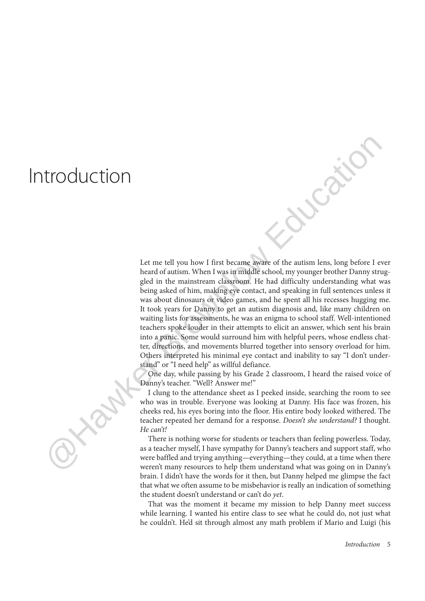# Introduction

Let me tell you how I first became aware of the autism lens, long before I ever heard of autism. When I was in middle school, my younger brother Danny struggled in the mainstream classroom. He had difficulty understanding what was being asked of him, making eye contact, and speaking in full sentences unless it was about dinosaurs or video games, and he spent all his recesses hugging me. It took years for Danny to get an autism diagnosis and, like many children on waiting lists for assessments, he was an enigma to school staff. Well-intentioned teachers spoke louder in their attempts to elicit an answer, which sent his brain into a panic. Some would surround him with helpful peers, whose endless chatter, directions, and movements blurred together into sensory overload for him. Others interpreted his minimal eye contact and inability to say "I don't understand" or "I need help" as willful defiance. **EXECUTE ASSEMATE AND THE SET INTERFECT INTERFERENCE IN THE CASE (SET IN THE CASE AND THE CASE AND THE CASE AND THE CASE AND THE CASE AND THE CASE AND THE CASE AND THE CASE AND THE CASE AND THE CASE AND THE CASE AND THE C** 

One day, while passing by his Grade 2 classroom, I heard the raised voice of Danny's teacher. "Well? Answer me!"

I clung to the attendance sheet as I peeked inside, searching the room to see who was in trouble. Everyone was looking at Danny. His face was frozen, his cheeks red, his eyes boring into the floor. His entire body looked withered. The teacher repeated her demand for a response. Doesn't she understand? I thought. He can't!

There is nothing worse for students or teachers than feeling powerless. Today, as a teacher myself, I have sympathy for Danny's teachers and support staff, who were baffled and trying anything—everything—they could, at a time when there weren't many resources to help them understand what was going on in Danny's brain. I didn't have the words for it then, but Danny helped me glimpse the fact that what we often assume to be misbehavior is really an indication of something the student doesn't understand or can't do yet.

That was the moment it became my mission to help Danny meet success while learning. I wanted his entire class to see what he could do, not just what he couldn't. He'd sit through almost any math problem if Mario and Luigi (his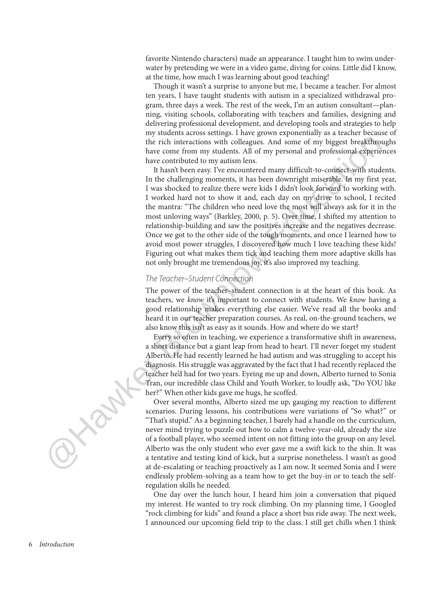favorite Nintendo characters) made an appearance. I taught him to swim underwater by pretending we were in a video game, diving for coins. Little did I know, at the time, how much I was learning about good teaching!

Though it wasn't a surprise to anyone but me, I became a teacher. For almost ten years, I have taught students with autism in a specialized withdrawal program, three days a week. The rest of the week, I'm an autism consultant—planning, visiting schools, collaborating with teachers and families, designing and delivering professional development, and developing tools and strategies to help my students across settings. I have grown exponentially as a teacher because of the rich interactions with colleagues. And some of my biggest breakthroughs have come from my students. All of my personal and professional experiences have contributed to my autism lens.

It hasn't been easy. I've encountered many difficult-to-connect-with students. In the challenging moments, it has been downright miserable. In my first year, I was shocked to realize there were kids I didn't look forward to working with. I worked hard not to show it and, each day on my drive to school, I recited the mantra: "The children who need love the most will always ask for it in the most unloving ways" (Barkley, 2000, p. 5). Over time, I shifted my attention to relationship- building and saw the positives increase and the negatives decrease. Once we got to the other side of the tough moments, and once I learned how to avoid most power struggles, I discovered how much I love teaching these kids! Figuring out what makes them tick and teaching them more adaptive skills has not only brought me tremendous joy, it's also improved my teaching. the rich interactions with solledges. And some of my higgest breakthee<br>heve come from ny students. All of my personal and professional experience have contributed to my autism lens.<br>In the challenging moments, it has been

### The Teacher–Student Connection

The power of the teacher–student connection is at the heart of this book. As teachers, we know it's important to connect with students. We know having a good relationship makes everything else easier. We've read all the books and heard it in our teacher preparation courses. As real, on-the-ground teachers, we also know this isn't as easy as it sounds. How and where do we start?

Every so often in teaching, we experience a transformative shift in awareness, a short distance but a giant leap from head to heart. I'll never forget my student Alberto. He had recently learned he had autism and was struggling to accept his diagnosis. His struggle was aggravated by the fact that I had recently replaced the teacher he'd had for two years. Eyeing me up and down, Alberto turned to Sonia Tran, our incredible class Child and Youth Worker, to loudly ask, "Do YOU like her?" When other kids gave me hugs, he scoffed.

Over several months, Alberto sized me up, gauging my reaction to different scenarios. During lessons, his contributions were variations of "So what?" or "That's stupid." As a beginning teacher, I barely had a handle on the curriculum, never mind trying to puzzle out how to calm a twelve-year-old, already the size of a football player, who seemed intent on not fitting into the group on any level. Alberto was the only student who ever gave me a swift kick to the shin. It was a tentative and testing kind of kick, but a surprise nonetheless. I wasn't as good at de-escalating or teaching proactively as I am now. It seemed Sonia and I were endlessly problem-solving as a team how to get the buy-in or to teach the selfregulation skills he needed.

One day over the lunch hour, I heard him join a conversation that piqued my interest. He wanted to try rock climbing. On my planning time, I Googled "rock climbing for kids" and found a place a short bus ride away. The next week, I announced our upcoming field trip to the class. I still get chills when I think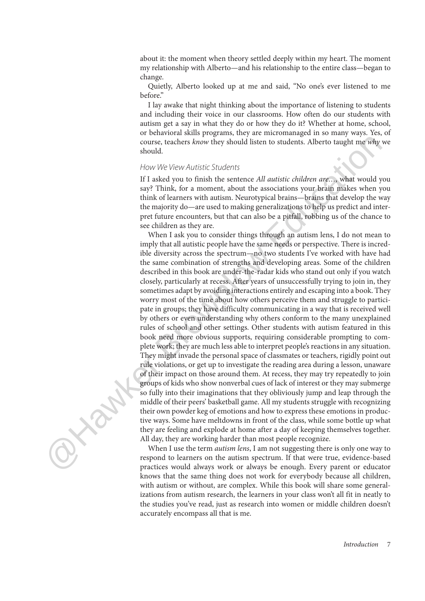about it: the moment when theory settled deeply within my heart. The moment my relationship with Alberto—and his relationship to the entire class—began to change.

Quietly, Alberto looked up at me and said, "No one's ever listened to me before."

I lay awake that night thinking about the importance of listening to students and including their voice in our classrooms. How often do our students with autism get a say in what they do or how they do it? Whether at home, school, or behavioral skills programs, they are micromanaged in so many ways. Yes, of course, teachers know they should listen to students. Alberto taught me why we should.

### How We View Autistic Students

If I asked you to finish the sentence All autistic children are..., what would you say? Think, for a moment, about the associations your brain makes when you think of learners with autism. Neurotypical brains—brains that develop the way the majority do—are used to making generalizations to help us predict and interpret future encounters, but that can also be a pitfall, robbing us of the chance to see children as they are.

When I ask you to consider things through an autism lens, I do not mean to imply that all autistic people have the same needs or perspective. There is incredible diversity across the spectrum—no two students I've worked with have had the same combination of strengths and developing areas. Some of the children described in this book are under-the-radar kids who stand out only if you watch closely, particularly at recess. After years of unsuccessfully trying to join in, they sometimes adapt by avoiding interactions entirely and escaping into a book. They worry most of the time about how others perceive them and struggle to participate in groups; they have difficulty communicating in a way that is received well by others or even understanding why others conform to the many unexplained rules of school and other settings. Other students with autism featured in this book need more obvious supports, requiring considerable prompting to complete work; they are much less able to interpret people's reactions in any situation. They might invade the personal space of classmates or teachers, rigidly point out rule violations, or get up to investigate the reading area during a lesson, unaware of their impact on those around them. At recess, they may try repeatedly to join groups of kids who show nonverbal cues of lack of interest or they may submerge so fully into their imaginations that they obliviously jump and leap through the middle of their peers' basketball game. All my students struggle with recognizing their own powder keg of emotions and how to express these emotions in productive ways. Some have meltdowns in front of the class, while some bottle up what they are feeling and explode at home after a day of keeping themselves together. All day, they are working harder than most people recognize. course, teachers *know* they should listen to students. Altherto taught me why<br>should.<br>
Heroto keep of the state of the state of the state of the state of the state of the state of the state of the state of the state of t

When I use the term *autism lens*, I am not suggesting there is only one way to respond to learners on the autism spectrum. If that were true, evidence-based practices would always work or always be enough. Every parent or educator knows that the same thing does not work for everybody because all children, with autism or without, are complex. While this book will share some generalizations from autism research, the learners in your class won't all fit in neatly to the studies you've read, just as research into women or middle children doesn't accurately encompass all that is me.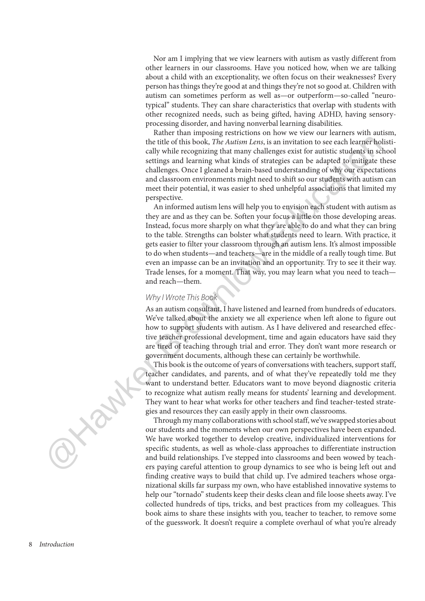Nor am I implying that we view learners with autism as vastly different from other learners in our classrooms. Have you noticed how, when we are talking about a child with an exceptionality, we often focus on their weaknesses? Every person has things they're good at and things they're not so good at. Children with autism can sometimes perform as well as—or outperform—so-called "neurotypical" students. They can share characteristics that overlap with students with other recognized needs, such as being gifted, having ADHD, having sensoryprocessing disorder, and having nonverbal learning disabilities.

Rather than imposing restrictions on how we view our learners with autism, the title of this book, The Autism Lens, is an invitation to see each learner holistically while recognizing that many challenges exist for autistic students in school settings and learning what kinds of strategies can be adapted to mitigate these challenges. Once I gleaned a brain-based understanding of why our expectations and classroom environments might need to shift so our students with autism can meet their potential, it was easier to shed unhelpful associations that limited my perspective.

An informed autism lens will help you to envision each student with autism as they are and as they can be. Soften your focus a little on those developing areas. Instead, focus more sharply on what they are able to do and what they can bring to the table. Strengths can bolster what students need to learn. With practice, it gets easier to filter your classroom through an autism lens. It's almost impossible to do when students—and teachers—are in the middle of a really tough time. But even an impasse can be an invitation and an opportunity. Try to see it their way. Trade lenses, for a moment. That way, you may learn what you need to teach and reach—them. the title of this book, "The Autiture Lenc, is an invitation to see each learner by a cell that the scopinizing that many challenges extis for antistic entating in each that the settings and learning what kinds of strateg

### Why I Wrote This Book

As an autism consultant, I have listened and learned from hundreds of educators. We've talked about the anxiety we all experience when left alone to figure out how to support students with autism. As I have delivered and researched effective teacher professional development, time and again educators have said they are tired of teaching through trial and error. They don't want more research or government documents, although these can certainly be worthwhile.

This book is the outcome of years of conversations with teachers, support staff, teacher candidates, and parents, and of what they've repeatedly told me they want to understand better. Educators want to move beyond diagnostic criteria to recognize what autism really means for students' learning and development. They want to hear what works for other teachers and find teacher-tested strategies and resources they can easily apply in their own classrooms.

Through my many collaborations with school staff, we've swapped stories about our students and the moments when our own perspectives have been expanded. We have worked together to develop creative, individualized interventions for specific students, as well as whole-class approaches to differentiate instruction and build relationships. I've stepped into classrooms and been wowed by teachers paying careful attention to group dynamics to see who is being left out and finding creative ways to build that child up. I've admired teachers whose organizational skills far surpass my own, who have established innovative systems to help our "tornado" students keep their desks clean and file loose sheets away. I've collected hundreds of tips, tricks, and best practices from my colleagues. This book aims to share these insights with you, teacher to teacher, to remove some of the guesswork. It doesn't require a complete overhaul of what you're already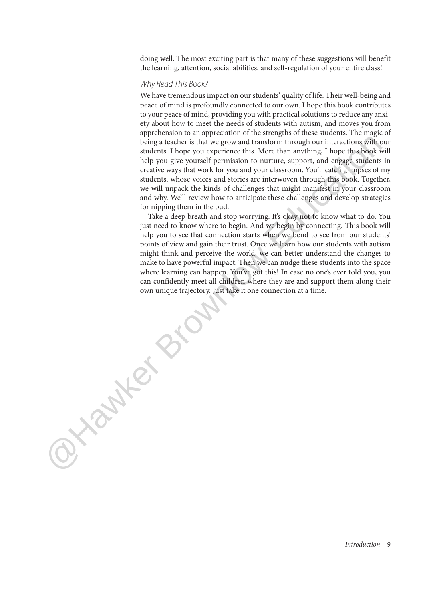doing well. The most exciting part is that many of these suggestions will benefit the learning, attention, social abilities, and self-regulation of your entire class!

### Why Read This Book?

**Sylver Brownlow** 

We have tremendous impact on our students' quality of life. Their well-being and peace of mind is profoundly connected to our own. I hope this book contributes to your peace of mind, providing you with practical solutions to reduce any anxiety about how to meet the needs of students with autism, and moves you from apprehension to an appreciation of the strengths of these students. The magic of being a teacher is that we grow and transform through our interactions with our students. I hope you experience this. More than anything, I hope this book will help you give yourself permission to nurture, support, and engage students in creative ways that work for you and your classroom. You'll catch glimpses of my students, whose voices and stories are interwoven through this book. Together, we will unpack the kinds of challenges that might manifest in your classroom and why. We'll review how to anticipate these challenges and develop strategies for nipping them in the bud.

Take a deep breath and stop worrying. It's okay not to know what to do. You just need to know where to begin. And we begin by connecting. This book will help you to see that connection starts when we bend to see from our students' points of view and gain their trust. Once we learn how our students with autism might think and perceive the world, we can better understand the changes to make to have powerful impact. Then we can nudge these students into the space where learning can happen. You've got this! In case no one's ever told you, you can confidently meet all children where they are and support them along their own unique trajectory. Just take it one connection at a time.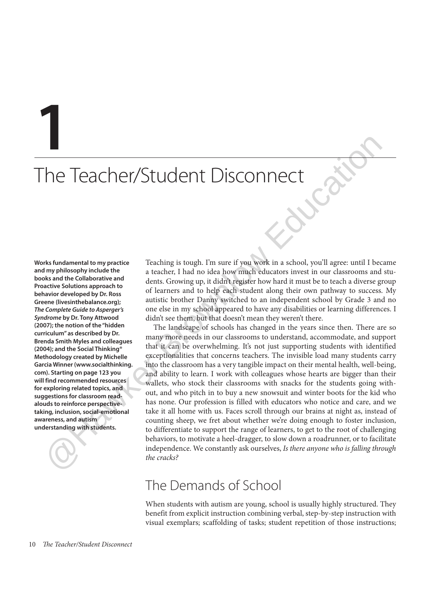**1**

# The Teacher/Student Disconnect

**Works fundamental to my practice and my philosophy include the books and the Collaborative and Proactive Solutions approach to behavior developed by Dr. Ross Greene (livesinthebalance.org); The Complete Guide to Asperger's Syndrome by Dr. Tony Attwood (2007); the notion of the "hidden curriculum" as described by Dr. Brenda Smith Myles and colleagues (2004); and the Social Thinking® Methodology created by Michelle Garcia Winner (www.socialthinking. com). Starting on page 123 you will find recommended resources for exploring related topics, and suggestions for classroom readalouds to reinforce perspectivetaking, inclusion, social-emotional awareness, and autism understanding with students.**

Teaching is tough. I'm sure if you work in a school, you'll agree: until I became a teacher, I had no idea how much educators invest in our classrooms and students. Growing up, it didn't register how hard it must be to teach a diverse group of learners and to help each student along their own pathway to success. My autistic brother Danny switched to an independent school by Grade 3 and no one else in my school appeared to have any disabilities or learning differences. I didn't see them, but that doesn't mean they weren't there.

The landscape of schools has changed in the years since then. There are so many more needs in our classrooms to understand, accommodate, and support that it can be overwhelming. It's not just supporting students with identified exceptionalities that concerns teachers. The invisible load many students carry into the classroom has a very tangible impact on their mental health, well-being, and ability to learn. I work with colleagues whose hearts are bigger than their wallets, who stock their classrooms with snacks for the students going without, and who pitch in to buy a new snowsuit and winter boots for the kid who has none. Our profession is filled with educators who notice and care, and we take it all home with us. Faces scroll through our brains at night as, instead of counting sheep, we fret about whether we're doing enough to foster inclusion, to differentiate to support the range of learners, to get to the root of challenging behaviors, to motivate a heel-dragger, to slow down a roadrunner, or to facilitate independence. We constantly ask ourselves, Is there anyone who is falling through the cracks? The Tead Cherry (Student Disconnect the action of the structure of the structure of the structure of the structure of the structure of the structure of the structure of the structure of the structure of the structure of th

# The Demands of School

When students with autism are young, school is usually highly structured. They benefit from explicit instruction combining verbal, step-by-step instruction with visual exemplars; scaffolding of tasks; student repetition of those instructions;